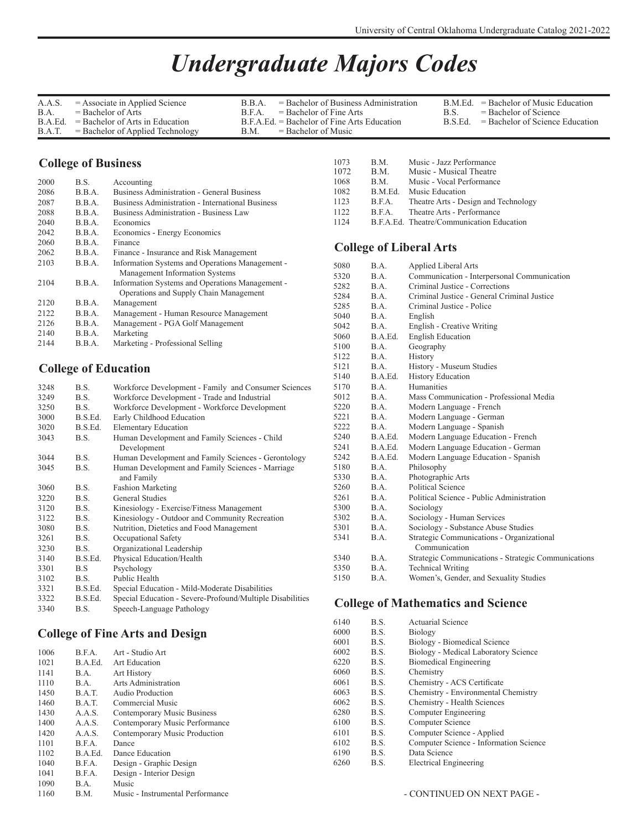## *Undergraduate Majors Codes*

| A.A.S.  | $=$ Associate in Applied Science   | $=$ Bachelor of Business Administration<br>R R A |         | $B.M.Ed.$ = Bachelor of Music Education |
|---------|------------------------------------|--------------------------------------------------|---------|-----------------------------------------|
| B.A.    | $=$ Bachelor of Arts               | $=$ Bachelor of Fine Arts<br>R F A               | B.S.    | $=$ Bachelor of Science                 |
| B.A.Ed. | $=$ Bachelor of Arts in Education  | $B.F.A.F.d = Bachelor of Fine Arts Education$    | B.S.Ed. | $=$ Bachelor of Science Education       |
| B.A.T.  | $=$ Bachelor of Applied Technology | $=$ Bachelor of Music<br>B.M.                    |         |                                         |

## **College of Business**

| 2000 | B.S.   | Accounting                                              |
|------|--------|---------------------------------------------------------|
| 2086 | B.B.A. | <b>Business Administration - General Business</b>       |
| 2087 | B.B.A. | <b>Business Administration - International Business</b> |
| 2088 | B.B.A. | Business Administration - Business Law                  |
| 2040 | B.B.A. | Economics                                               |
| 2042 | B.B.A. | Economics - Energy Economics                            |
| 2060 | B.B.A. | Finance                                                 |
| 2062 | B.B.A. | Finance - Insurance and Risk Management                 |
| 2103 | B.B.A. | Information Systems and Operations Management -         |
|      |        | Management Information Systems                          |
| 2104 | B.B.A. | Information Systems and Operations Management -         |
|      |        | Operations and Supply Chain Management                  |
| 2120 | B.B.A. | Management                                              |
| 2122 | B.B.A. | Management - Human Resource Management                  |
| 2126 | B.B.A. | Management - PGA Golf Management                        |
| 2140 | B.B.A. | Marketing                                               |
| 2144 | B.B.A. | Marketing - Professional Selling                        |

## **College of Education**

| B.S.    | Workforce Development - Family and Consumer Sciences      |
|---------|-----------------------------------------------------------|
| B.S.    | Workforce Development - Trade and Industrial              |
| B.S.    | Workforce Development - Workforce Development             |
| B.S.Ed. | Early Childhood Education                                 |
| B.S.Ed. | <b>Elementary Education</b>                               |
| B.S.    | Human Development and Family Sciences - Child             |
|         | Development                                               |
| B.S.    | Human Development and Family Sciences - Gerontology       |
| B.S.    | Human Development and Family Sciences - Marriage          |
|         | and Family                                                |
| B.S.    | <b>Fashion Marketing</b>                                  |
| B.S.    | General Studies                                           |
| B.S.    | Kinesiology - Exercise/Fitness Management                 |
| B.S.    | Kinesiology - Outdoor and Community Recreation            |
| B.S.    | Nutrition, Dietetics and Food Management                  |
| B.S.    | Occupational Safety                                       |
| B.S.    | Organizational Leadership                                 |
| B.S.Ed. | Physical Education/Health                                 |
| B.S     | Psychology                                                |
| B.S.    | Public Health                                             |
| B.S.Ed. | Special Education - Mild-Moderate Disabilities            |
| B.S.Ed. | Special Education - Severe-Profound/Multiple Disabilities |
| B.S.    | Speech-Language Pathology                                 |
|         |                                                           |

## **College of Fine Arts and Design**

| 1006 | B.F.A.  | Art - Studio Art                 |
|------|---------|----------------------------------|
| 1021 | B.A.Ed. | Art Education                    |
| 1141 | B.A.    | <b>Art History</b>               |
| 1110 | B.A.    | Arts Administration              |
| 1450 | B.A.T.  | Audio Production                 |
| 1460 | B.A.T.  | Commercial Music                 |
| 1430 | A.A.S.  | Contemporary Music Business      |
| 1400 | A.A.S.  | Contemporary Music Performance   |
| 1420 | A.A.S.  | Contemporary Music Production    |
| 1101 | B.F.A.  | Dance                            |
| 1102 | B.A.Ed. | Dance Education                  |
| 1040 | B.F.A.  | Design - Graphic Design          |
| 1041 | B.F.A.  | Design - Interior Design         |
| 1090 | B.A.    | Music                            |
| 1160 | B.M.    | Music - Instrumental Performance |

| 1073<br>1072 | B.M.<br>B.M. | Music - Jazz Performance<br>Music - Musical Theatre |
|--------------|--------------|-----------------------------------------------------|
| 1068         | B.M.         | Music - Vocal Performance                           |
| 1082         | B.M.Ed.      | Music Education                                     |
| 1123         | B.F.A.       | Theatre Arts - Design and Technology                |
| 1122         | BFA          | Theatre Arts - Performance                          |
| 1124         |              | B.F.A.Ed. Theatre/Communication Education           |

## **College of Liberal Arts**

| 5080 | $\mathbf{B} \cdot \mathbf{A}$ | <b>Applied Liberal Arts</b>                         |
|------|-------------------------------|-----------------------------------------------------|
| 5320 | B.A.                          | Communication - Interpersonal Communication         |
| 5282 | B.A.                          | Criminal Justice - Corrections                      |
| 5284 | B.A.                          | Criminal Justice - General Criminal Justice         |
| 5285 | B.A.                          | Criminal Justice - Police                           |
| 5040 | BA.                           | English                                             |
| 5042 | B.A.                          | English - Creative Writing                          |
| 5060 | B.A.Ed.                       | <b>English Education</b>                            |
| 5100 | B.A.                          | Geography                                           |
| 5122 | B.A.                          | History                                             |
| 5121 | B.A.                          | History - Museum Studies                            |
| 5140 | B.A.Ed.                       | <b>History Education</b>                            |
| 5170 | B.A.                          | Humanities                                          |
| 5012 | BA.                           | Mass Communication - Professional Media             |
| 5220 | B.A.                          | Modern Language - French                            |
| 5221 | B.A.                          | Modern Language - German                            |
| 5222 | BA.                           | Modern Language - Spanish                           |
| 5240 | B.A.Ed.                       | Modern Language Education - French                  |
| 5241 | B.A.Ed.                       | Modern Language Education - German                  |
| 5242 | B.A.Ed.                       | Modern Language Education - Spanish                 |
| 5180 | B.A.                          | Philosophy                                          |
| 5330 | B.A.                          | Photographic Arts                                   |
| 5260 | BA.                           | Political Science                                   |
| 5261 | B.A.                          | Political Science - Public Administration           |
| 5300 | B.A.                          | Sociology                                           |
| 5302 | B.A.                          | Sociology - Human Services                          |
| 5301 | B.A.                          | Sociology - Substance Abuse Studies                 |
| 5341 | B.A.                          | Strategic Communications - Organizational           |
|      |                               | Communication                                       |
| 5340 | B.A.                          | Strategic Communications - Strategic Communications |
| 5350 | B.A.                          | <b>Technical Writing</b>                            |
| 5150 | B.A.                          | Women's, Gender, and Sexuality Studies              |

## **College of Mathematics and Science**

| 6140 | B.S. | Actuarial Science                      |
|------|------|----------------------------------------|
| 6000 | B.S. | Biology                                |
| 6001 | B.S. | Biology - Biomedical Science           |
| 6002 | B.S. | Biology - Medical Laboratory Science   |
| 6220 | B.S. | <b>Biomedical Engineering</b>          |
| 6060 | B.S. | Chemistry                              |
| 6061 | B.S. | Chemistry - ACS Certificate            |
| 6063 | B.S. | Chemistry - Environmental Chemistry    |
| 6062 | B.S. | Chemistry - Health Sciences            |
| 6280 | B.S. | Computer Engineering                   |
| 6100 | B.S. | Computer Science                       |
| 6101 | B.S. | Computer Science - Applied             |
| 6102 | B.S. | Computer Science - Information Science |
| 6190 | B.S. | Data Science                           |
| 6260 | B.S. | Electrical Engineering                 |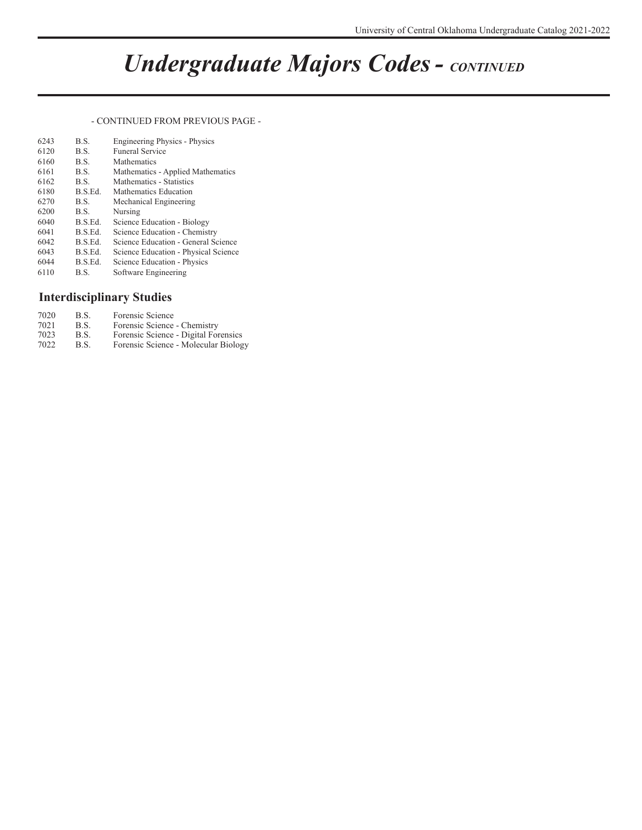# *Undergraduate Majors Codes - CONTINUED*

#### - CONTINUED FROM PREVIOUS PAGE -

| 6243 | B.S.    | <b>Engineering Physics - Physics</b> |
|------|---------|--------------------------------------|
| 6120 | B.S.    | <b>Funeral Service</b>               |
| 6160 | B.S.    | Mathematics                          |
| 6161 | B.S.    | Mathematics - Applied Mathematics    |
| 6162 | B.S.    | Mathematics - Statistics             |
| 6180 | B.S.Ed. | Mathematics Education                |
| 6270 | B.S.    | Mechanical Engineering               |
| 6200 | B.S.    | Nursing                              |
| 6040 | B.S.Ed. | Science Education - Biology          |
| 6041 | B.S.Ed. | Science Education - Chemistry        |
| 6042 | B.S.Ed. | Science Education - General Science  |
| 6043 | B.S.Ed. | Science Education - Physical Science |
| 6044 | B.S.Ed. | Science Education - Physics          |
| 6110 | B.S.    | Software Engineering                 |

## **Interdisciplinary Studies**

| 7020 | B.S. | Forensic Science                     |
|------|------|--------------------------------------|
| 7021 | B.S. | Forensic Science - Chemistry         |
| 7023 | B.S. | Forensic Science - Digital Forensics |
| 7022 | B.S. | Forensic Science - Molecular Biology |